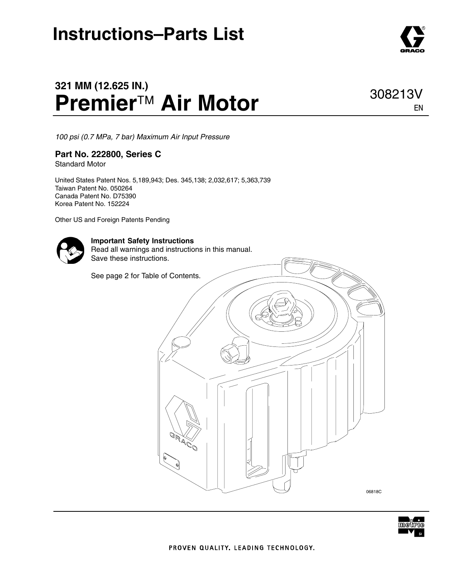### **Instructions–Parts List**

### **321 MM (12.625 IN.) Premier**™ **Air Motor**

*100 psi (0.7 MPa, 7 bar) Maximum Air Input Pressure*

#### **Part No. 222800, Series C**

Standard Motor

United States Patent Nos. 5,189,943; Des. 345,138; 2,032,617; 5,363,739 Taiwan Patent No. 050264 Canada Patent No. D75390 Korea Patent No. 152224

Other US and Foreign Patents Pending



#### **Important Safety Instructions**

Read all warnings and instructions in this manual. Save these instructions.

See page 2 for Table of Contents.





308213V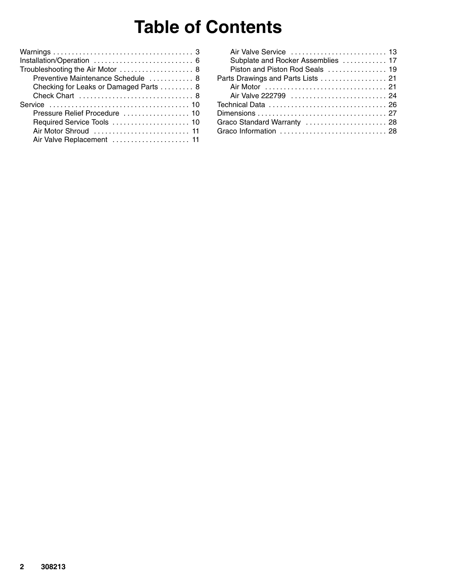### **Table of Contents**

| Installation/Operation  6             |
|---------------------------------------|
| Troubleshooting the Air Motor  8      |
| Preventive Maintenance Schedule  8    |
| Checking for Leaks or Damaged Parts 8 |
|                                       |
|                                       |
| Pressure Relief Procedure  10         |
| Required Service Tools  10            |
|                                       |
| Air Valve Replacement  11             |
|                                       |

| Air Valve Service  13              |  |
|------------------------------------|--|
| Subplate and Rocker Assemblies  17 |  |
| Piston and Piston Rod Seals  19    |  |
| Parts Drawings and Parts Lists  21 |  |
|                                    |  |
|                                    |  |
|                                    |  |
|                                    |  |
| Graco Standard Warranty  28        |  |
|                                    |  |
|                                    |  |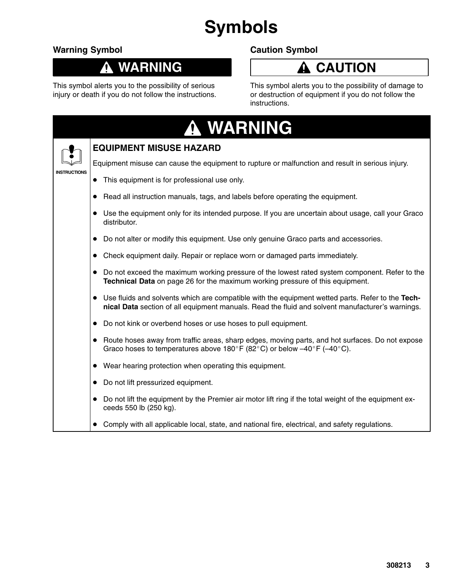## **Symbols**

### **Warning Symbol**

#### **WARNING**  $\boldsymbol{\Lambda}$

This symbol alerts you to the possibility of serious injury or death if you do not follow the instructions.

### **Caution Symbol**



This symbol alerts you to the possibility of damage to or destruction of equipment if you do not follow the instructions.

|                     | A WARNING                                                                                                                                                                                                         |
|---------------------|-------------------------------------------------------------------------------------------------------------------------------------------------------------------------------------------------------------------|
|                     | <b>EQUIPMENT MISUSE HAZARD</b>                                                                                                                                                                                    |
|                     | Equipment misuse can cause the equipment to rupture or malfunction and result in serious injury.                                                                                                                  |
| <b>INSTRUCTIONS</b> | This equipment is for professional use only.                                                                                                                                                                      |
|                     | Read all instruction manuals, tags, and labels before operating the equipment.                                                                                                                                    |
|                     | Use the equipment only for its intended purpose. If you are uncertain about usage, call your Graco<br>distributor.                                                                                                |
|                     | Do not alter or modify this equipment. Use only genuine Graco parts and accessories.                                                                                                                              |
|                     | Check equipment daily. Repair or replace worn or damaged parts immediately.<br>$\bullet$                                                                                                                          |
|                     | Do not exceed the maximum working pressure of the lowest rated system component. Refer to the<br>$\bullet$<br>Technical Data on page 26 for the maximum working pressure of this equipment.                       |
|                     | Use fluids and solvents which are compatible with the equipment wetted parts. Refer to the Tech-<br>$\bullet$<br>nical Data section of all equipment manuals. Read the fluid and solvent manufacturer's warnings. |
|                     | Do not kink or overbend hoses or use hoses to pull equipment.<br>$\bullet$                                                                                                                                        |
|                     | Route hoses away from traffic areas, sharp edges, moving parts, and hot surfaces. Do not expose<br>$\bullet$<br>Graco hoses to temperatures above 180°F (82°C) or below $-40^{\circ}$ F ( $-40^{\circ}$ C).       |
|                     | Wear hearing protection when operating this equipment.                                                                                                                                                            |
|                     | Do not lift pressurized equipment.                                                                                                                                                                                |
|                     | Do not lift the equipment by the Premier air motor lift ring if the total weight of the equipment ex-<br>ceeds 550 lb (250 kg).                                                                                   |
|                     | Comply with all applicable local, state, and national fire, electrical, and safety regulations.                                                                                                                   |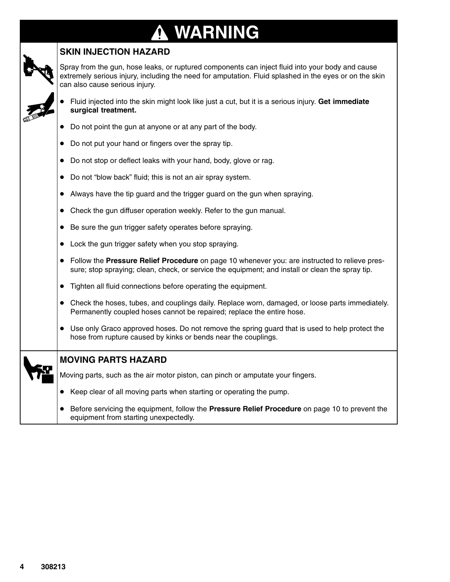### **WARNING** 0

### **SKIN INJECTION HAZARD**

Spray from the gun, hose leaks, or ruptured components can inject fluid into your body and cause extremely serious injury, including the need for amputation. Fluid splashed in the eyes or on the skin can also cause serious injury.

- $\bullet$  Fluid injected into the skin might look like just a cut, but it is a serious injury. **Get immediate surgical treatment.**
- Do not point the gun at anyone or at any part of the body.
- Do not put your hand or fingers over the spray tip.
- Do not stop or deflect leaks with your hand, body, glove or rag.
- Do not "blow back" fluid; this is not an air spray system.
- Always have the tip guard and the trigger guard on the gun when spraying.
- Check the gun diffuser operation weekly. Refer to the gun manual.
- Be sure the gun trigger safety operates before spraying.
- Lock the gun trigger safety when you stop spraying.
- Follow the **Pressure Relief Procedure** on page 10 whenever you: are instructed to relieve pressure; stop spraying; clean, check, or service the equipment; and install or clean the spray tip.
- Tighten all fluid connections before operating the equipment.
- Check the hoses, tubes, and couplings daily. Replace worn, damaged, or loose parts immediately. Permanently coupled hoses cannot be repaired; replace the entire hose.
- Use only Graco approved hoses. Do not remove the spring guard that is used to help protect the hose from rupture caused by kinks or bends near the couplings.

| , |
|---|
|---|

#### **MOVING PARTS HAZARD**

Moving parts, such as the air motor piston, can pinch or amputate your fingers.

- Keep clear of all moving parts when starting or operating the pump.
- $\bullet$  Before servicing the equipment, follow the **Pressure Relief Procedure** on page 10 to prevent the equipment from starting unexpectedly.

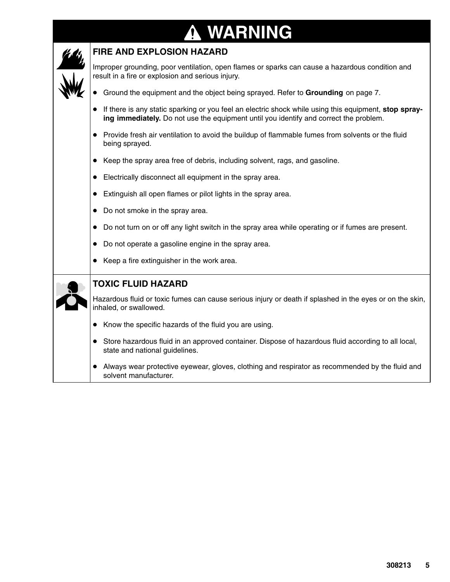# **A WARNING**

I

| <b>FIRE AND EXPLOSION HAZARD</b>                                                                                                                                                               |
|------------------------------------------------------------------------------------------------------------------------------------------------------------------------------------------------|
| Improper grounding, poor ventilation, open flames or sparks can cause a hazardous condition and<br>result in a fire or explosion and serious injury.                                           |
| Ground the equipment and the object being sprayed. Refer to Grounding on page 7.                                                                                                               |
| If there is any static sparking or you feel an electric shock while using this equipment, stop spray-<br>ing immediately. Do not use the equipment until you identify and correct the problem. |
| Provide fresh air ventilation to avoid the buildup of flammable fumes from solvents or the fluid<br>being sprayed.                                                                             |
| Keep the spray area free of debris, including solvent, rags, and gasoline.                                                                                                                     |
| Electrically disconnect all equipment in the spray area.                                                                                                                                       |
| Extinguish all open flames or pilot lights in the spray area.<br>$\bullet$                                                                                                                     |
| Do not smoke in the spray area.                                                                                                                                                                |
| Do not turn on or off any light switch in the spray area while operating or if fumes are present.                                                                                              |
| Do not operate a gasoline engine in the spray area.                                                                                                                                            |
| Keep a fire extinguisher in the work area.                                                                                                                                                     |
| <b>TOXIC FLUID HAZARD</b>                                                                                                                                                                      |
| Hazardous fluid or toxic fumes can cause serious injury or death if splashed in the eyes or on the skin,<br>inhaled, or swallowed.                                                             |
| Know the specific hazards of the fluid you are using.                                                                                                                                          |
| • Store hazardous fluid in an approved container. Dispose of hazardous fluid according to all local,<br>state and national guidelines.                                                         |
| Always wear protective eyewear, gloves, clothing and respirator as recommended by the fluid and<br>solvent manufacturer.                                                                       |

T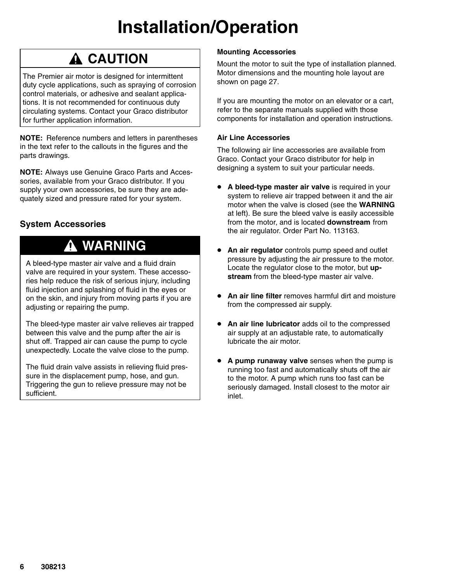## **Installation/Operation**

### **A CAUTION**

The Premier air motor is designed for intermittent duty cycle applications, such as spraying of corrosion control materials, or adhesive and sealant applications. It is not recommended for continuous duty circulating systems. Contact your Graco distributor for further application information.

**NOTE:** Reference numbers and letters in parentheses in the text refer to the callouts in the figures and the parts drawings.

**NOTE:** Always use Genuine Graco Parts and Accessories, available from your Graco distributor. If you supply your own accessories, be sure they are adequately sized and pressure rated for your system.

### **System Accessories**

### **WARNING**

A bleed-type master air valve and a fluid drain valve are required in your system. These accessories help reduce the risk of serious injury, including fluid injection and splashing of fluid in the eyes or on the skin, and injury from moving parts if you are adjusting or repairing the pump.

The bleed-type master air valve relieves air trapped between this valve and the pump after the air is shut off. Trapped air can cause the pump to cycle unexpectedly. Locate the valve close to the pump.

The fluid drain valve assists in relieving fluid pressure in the displacement pump, hose, and gun. Triggering the gun to relieve pressure may not be sufficient.

#### **Mounting Accessories**

Mount the motor to suit the type of installation planned. Motor dimensions and the mounting hole layout are shown on page 27.

If you are mounting the motor on an elevator or a cart, refer to the separate manuals supplied with those components for installation and operation instructions.

#### **Air Line Accessories**

The following air line accessories are available from Graco. Contact your Graco distributor for help in designing a system to suit your particular needs.

- **A bleed-type master air valve** is required in your system to relieve air trapped between it and the air motor when the valve is closed (see the **WARNING** at left). Be sure the bleed valve is easily accessible from the motor, and is located **downstream** from the air regulator. Order Part No. 113163.
- $\bullet$  **An air regulator** controls pump speed and outlet pressure by adjusting the air pressure to the motor. Locate the regulator close to the motor, but **upstream** from the bleed-type master air valve.
- **An air line filter** removes harmful dirt and moisture from the compressed air supply.
- **An air line lubricator** adds oil to the compressed air supply at an adjustable rate, to automatically lubricate the air motor.
- **A pump runaway valve** senses when the pump is running too fast and automatically shuts off the air to the motor. A pump which runs too fast can be seriously damaged. Install closest to the motor air inlet.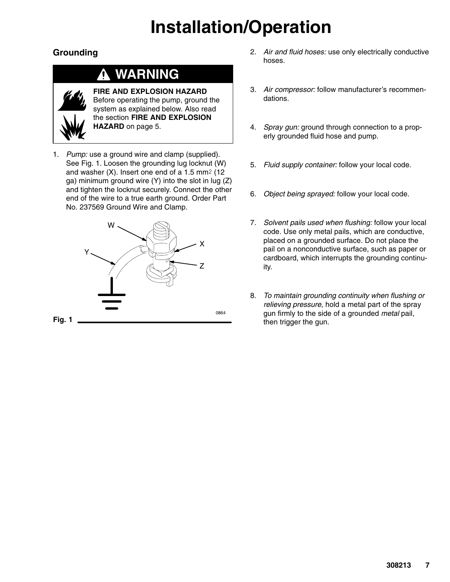## **Installation/Operation**

### **Grounding**

### **WARNING**



**FIRE AND EXPLOSION HAZARD** Before operating the pump, ground the system as explained below. Also read the section **FIRE AND EXPLOSION HAZARD** on page 5.

1. *Pump:* use a ground wire and clamp (supplied). See Fig. 1. Loosen the grounding lug locknut (W) and washer  $(X)$ . Insert one end of a 1.5 mm<sup>2</sup> (12) ga) minimum ground wire (Y) into the slot in lug (Z) and tighten the locknut securely. Connect the other end of the wire to a true earth ground. Order Part No. 237569 Ground Wire and Clamp.



- 2. *Air and fluid hoses:* use only electrically conductive hoses.
- 3. *Air compressor:* follow manufacturer's recommendations.
- 4. *Spray gun:* ground through connection to a properly grounded fluid hose and pump.
- 5. *Fluid supply container:* follow your local code.
- 6. *Object being sprayed:* follow your local code.
- 7. *Solvent pails used when flushing:* follow your local code. Use only metal pails, which are conductive, placed on a grounded surface. Do not place the pail on a nonconductive surface, such as paper or cardboard, which interrupts the grounding continuity.
- 8. *To maintain grounding continuity when flushing or relieving pressure*, hold a metal part of the spray gun firmly to the side of a grounded *metal* pail, then trigger the gun.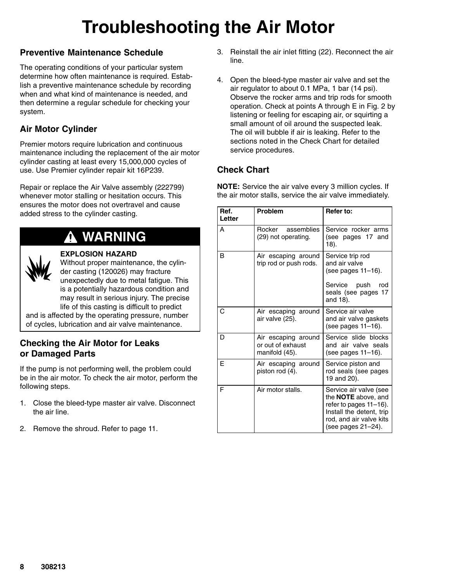## **Troubleshooting the Air Motor**

### **Preventive Maintenance Schedule**

The operating conditions of your particular system determine how often maintenance is required. Establish a preventive maintenance schedule by recording when and what kind of maintenance is needed, and then determine a regular schedule for checking your system.

### **Air Motor Cylinder**

Premier motors require lubrication and continuous maintenance including the replacement of the air motor cylinder casting at least every 15,000,000 cycles of use. Use Premier cylinder repair kit 16P239.

Repair or replace the Air Valve assembly (222799) whenever motor stalling or hesitation occurs. This ensures the motor does not overtravel and cause added stress to the cylinder casting.

### **WARNING**



#### **EXPLOSION HAZARD**

Without proper maintenance, the cylinder casting (120026) may fracture unexpectedly due to metal fatigue. This is a potentially hazardous condition and may result in serious injury. The precise life of this casting is difficult to predict

and is affected by the operating pressure, number of cycles, lubrication and air valve maintenance.

#### **Checking the Air Motor for Leaks or Damaged Parts**

If the pump is not performing well, the problem could be in the air motor. To check the air motor, perform the following steps.

- 1. Close the bleed-type master air valve. Disconnect the air line.
- 2. Remove the shroud. Refer to page 11.
- 3. Reinstall the air inlet fitting (22). Reconnect the air line.
- 4. Open the bleed-type master air valve and set the air regulator to about 0.1 MPa, 1 bar (14 psi). Observe the rocker arms and trip rods for smooth operation. Check at points A through E in Fig. 2 by listening or feeling for escaping air, or squirting a small amount of oil around the suspected leak. The oil will bubble if air is leaking. Refer to the sections noted in the Check Chart for detailed service procedures.

### **Check Chart**

**NOTE:** Service the air valve every 3 million cycles. If the air motor stalls, service the air valve immediately.

| Ref.<br>Letter | Problem                                                    | Refer to:                                                                                                                                            |
|----------------|------------------------------------------------------------|------------------------------------------------------------------------------------------------------------------------------------------------------|
| Α              | Rocker<br>assemblies<br>(29) not operating.                | Service rocker arms<br>(see pages 17 and<br>18).                                                                                                     |
| B              | Air escaping around<br>trip rod or push rods.              | Service trip rod<br>and air valve<br>(see pages 11–16).<br>Service push<br>rod<br>seals (see pages 17<br>and 18).                                    |
| C              | Air escaping around<br>air valve (25).                     | Service air valve<br>and air valve gaskets<br>(see pages 11–16).                                                                                     |
| D              | Air escaping around<br>or out of exhaust<br>manifold (45). | Service slide blocks<br>and air valve seals<br>(see pages 11-16).                                                                                    |
| F              | Air escaping around<br>piston rod (4).                     | Service piston and<br>rod seals (see pages<br>19 and 20).                                                                                            |
| F              | Air motor stalls.                                          | Service air valve (see<br>the NOTE above, and<br>refer to pages 11-16).<br>Install the detent, trip<br>rod, and air valve kits<br>(see pages 21-24). |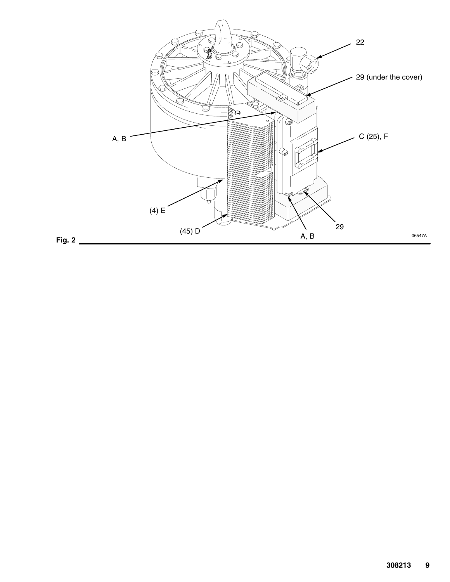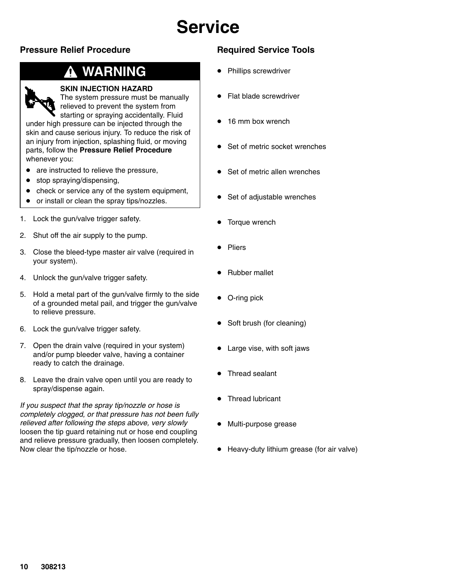### **Pressure Relief Procedure**

### **WARNING**



#### **SKIN INJECTION HAZARD**

The system pressure must be manually relieved to prevent the system from

starting or spraying accidentally. Fluid under high pressure can be injected through the skin and cause serious injury. To reduce the risk of an injury from injection, splashing fluid, or moving parts, follow the **Pressure Relief Procedure** whenever you:

- are instructed to relieve the pressure,
- $\bullet$ stop spraying/dispensing,
- $\bullet$ check or service any of the system equipment,
- $\bullet$ or install or clean the spray tips/nozzles.
- 1. Lock the gun/valve trigger safety.
- 2. Shut off the air supply to the pump.
- 3. Close the bleed-type master air valve (required in your system).
- 4. Unlock the gun/valve trigger safety.
- 5. Hold a metal part of the gun/valve firmly to the side of a grounded metal pail, and trigger the gun/valve to relieve pressure.
- 6. Lock the gun/valve trigger safety.
- 7. Open the drain valve (required in your system) and/or pump bleeder valve, having a container ready to catch the drainage.
- 8. Leave the drain valve open until you are ready to spray/dispense again.

*If you suspect that the spray tip/nozzle or hose is completely clogged, or that pressure has not been fully relieved after following the steps above, very slowly* loosen the tip guard retaining nut or hose end coupling and relieve pressure gradually, then loosen completely. Now clear the tip/nozzle or hose.

### **Required Service Tools**

- $\bullet$ Phillips screwdriver
- Flat blade screwdriver
- $\bullet$ 16 mm box wrench
- Set of metric socket wrenches
- $\bullet$ Set of metric allen wrenches
- Set of adjustable wrenches
- $\bullet$ Torque wrench
- $\bullet$ Pliers
- $\bullet$ Rubber mallet
- O-ring pick
- Soft brush (for cleaning)
- Large vise, with soft jaws
- $\bullet$ Thread sealant
- $\bullet$ Thread lubricant
- Multi-purpose grease
- Heavy-duty lithium grease (for air valve)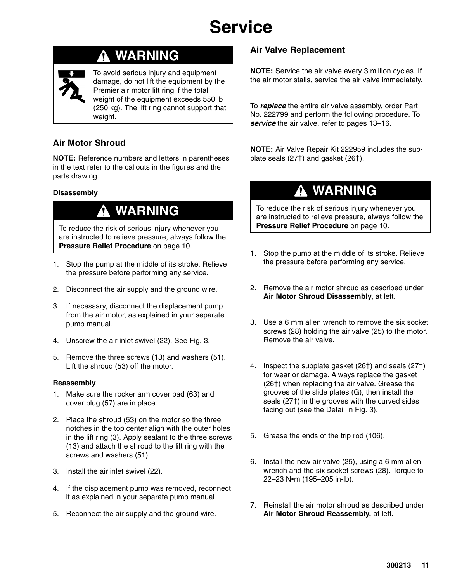### **WARNING**



To avoid serious injury and equipment damage, do not lift the equipment by the Premier air motor lift ring if the total weight of the equipment exceeds 550 lb (250 kg). The lift ring cannot support that weight.

### **Air Motor Shroud**

**NOTE:** Reference numbers and letters in parentheses in the text refer to the callouts in the figures and the parts drawing.

#### **Disassembly**

### **WARNING**

To reduce the risk of serious injury whenever you are instructed to relieve pressure, always follow the **Pressure Relief Procedure** on page 10.

- 1. Stop the pump at the middle of its stroke. Relieve the pressure before performing any service.
- 2. Disconnect the air supply and the ground wire.
- 3. If necessary, disconnect the displacement pump from the air motor, as explained in your separate pump manual.
- 4. Unscrew the air inlet swivel (22). See Fig. 3.
- 5. Remove the three screws (13) and washers (51). Lift the shroud (53) off the motor.

#### **Reassembly**

- 1. Make sure the rocker arm cover pad (63) and cover plug (57) are in place.
- 2. Place the shroud (53) on the motor so the three notches in the top center align with the outer holes in the lift ring (3). Apply sealant to the three screws (13) and attach the shroud to the lift ring with the screws and washers (51).
- 3. Install the air inlet swivel (22).
- 4. If the displacement pump was removed, reconnect it as explained in your separate pump manual.
- 5. Reconnect the air supply and the ground wire.

#### **Air Valve Replacement**

**NOTE:** Service the air valve every 3 million cycles. If the air motor stalls, service the air valve immediately.

To *replace* the entire air valve assembly, order Part No. 222799 and perform the following procedure. To *service* the air valve, refer to pages 13–16.

**NOTE:** Air Valve Repair Kit 222959 includes the subplate seals  $(27<sup>†</sup>)$  and gasket  $(26<sup>†</sup>)$ .

### **WARNING**

To reduce the risk of serious injury whenever you are instructed to relieve pressure, always follow the **Pressure Relief Procedure** on page 10.

- 1. Stop the pump at the middle of its stroke. Relieve the pressure before performing any service.
- 2. Remove the air motor shroud as described under **Air Motor Shroud Disassembly,** at left.
- 3. Use a 6 mm allen wrench to remove the six socket screws (28) holding the air valve (25) to the motor. Remove the air valve.
- 4. Inspect the subplate gasket  $(26)$  and seals  $(27)$ for wear or damage. Always replace the gasket (26†) when replacing the air valve. Grease the grooves of the slide plates (G), then install the seals  $(27<sup>†</sup>)$  in the grooves with the curved sides facing out (see the Detail in Fig. 3).
- 5. Grease the ends of the trip rod (106).
- 6. Install the new air valve (25), using a 6 mm allen wrench and the six socket screws (28). Torque to 22-23 N•m (195-205 in-lb).
- 7. Reinstall the air motor shroud as described under **Air Motor Shroud Reassembly,** at left.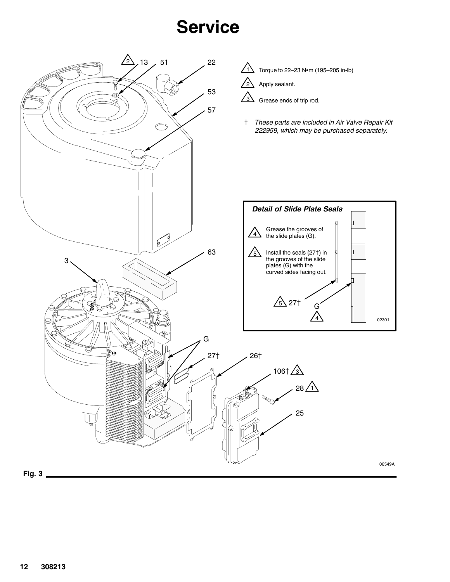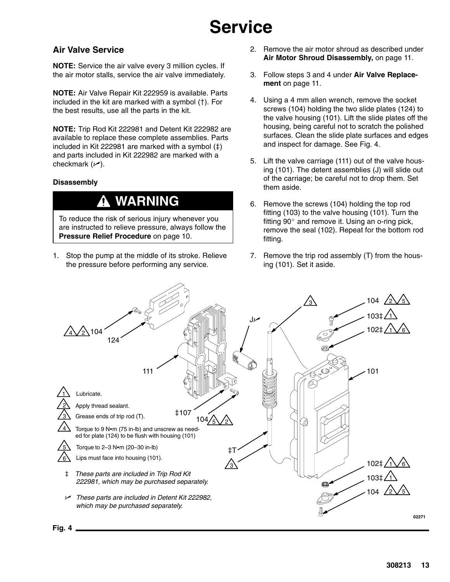#### **Air Valve Service**

**NOTE:** Service the air valve every 3 million cycles. If the air motor stalls, service the air valve immediately.

**NOTE:** Air Valve Repair Kit 222959 is available. Parts included in the kit are marked with a symbol  $(+)$ . For the best results, use all the parts in the kit.

**NOTE:** Trip Rod Kit 222981 and Detent Kit 222982 are available to replace these complete assemblies. Parts included in Kit 222981 are marked with a symbol  $(\ddagger)$ and parts included in Kit 222982 are marked with a checkmark  $(\swarrow)$ .

#### **Disassembly**

### **WARNING**

To reduce the risk of serious injury whenever you are instructed to relieve pressure, always follow the **Pressure Relief Procedure** on page 10.

1. Stop the pump at the middle of its stroke. Relieve the pressure before performing any service.

- 2. Remove the air motor shroud as described under **Air Motor Shroud Disassembly,** on page 11.
- 3. Follow steps 3 and 4 under **Air Valve Replacement** on page 11.
- 4. Using a 4 mm allen wrench, remove the socket screws (104) holding the two slide plates (124) to the valve housing (101). Lift the slide plates off the housing, being careful not to scratch the polished surfaces. Clean the slide plate surfaces and edges and inspect for damage. See Fig. 4.
- 5. Lift the valve carriage (111) out of the valve housing (101). The detent assemblies (J) will slide out of the carriage; be careful not to drop them. Set them aside.
- 6. Remove the screws (104) holding the top rod fitting (103) to the valve housing (101). Turn the fitting  $90^\circ$  and remove it. Using an o-ring pick, remove the seal (102). Repeat for the bottom rod fitting.
- 7. Remove the trip rod assembly (T) from the housing (101). Set it aside.

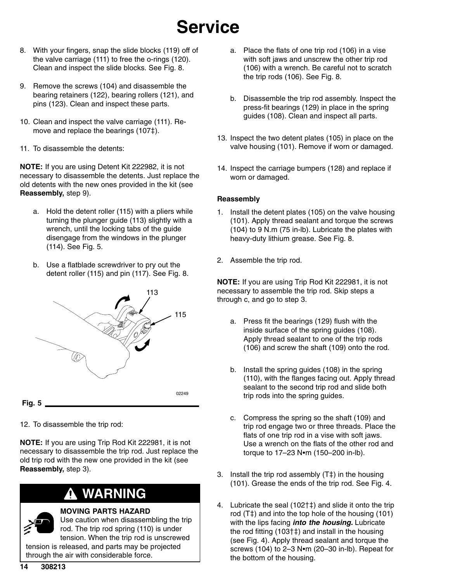- 8. With your fingers, snap the slide blocks (119) off of the valve carriage (111) to free the o-rings (120). Clean and inspect the slide blocks. See Fig. 8.
- 9. Remove the screws (104) and disassemble the bearing retainers (122), bearing rollers (121), and pins (123). Clean and inspect these parts.
- 10. Clean and inspect the valve carriage (111). Remove and replace the bearings (107‡).
- 11. To disassemble the detents:

**NOTE:** If you are using Detent Kit 222982, it is not necessary to disassemble the detents. Just replace the old detents with the new ones provided in the kit (see **Reassembly,** step 9).

- a. Hold the detent roller (115) with a pliers while turning the plunger guide (113) slightly with a wrench, until the locking tabs of the guide disengage from the windows in the plunger (114). See Fig. 5.
- b. Use a flatblade screwdriver to pry out the detent roller (115) and pin (117). See Fig. 8.



12. To disassemble the trip rod:

**NOTE:** If you are using Trip Rod Kit 222981, it is not necessary to disassemble the trip rod. Just replace the old trip rod with the new one provided in the kit (see **Reassembly,** step 3).

### **WARNING**

#### **MOVING PARTS HAZARD**

Use caution when disassembling the trip rod. The trip rod spring (110) is under tension. When the trip rod is unscrewed tension is released, and parts may be projected through the air with considerable force.

- a. Place the flats of one trip rod (106) in a vise with soft jaws and unscrew the other trip rod (106) with a wrench. Be careful not to scratch the trip rods (106). See Fig. 8.
- b. Disassemble the trip rod assembly. Inspect the press-fit bearings (129) in place in the spring guides (108). Clean and inspect all parts.
- 13. Inspect the two detent plates (105) in place on the valve housing (101). Remove if worn or damaged.
- 14. Inspect the carriage bumpers (128) and replace if worn or damaged.

#### **Reassembly**

- 1. Install the detent plates (105) on the valve housing (101). Apply thread sealant and torque the screws (104) to 9 N.m (75 in-lb). Lubricate the plates with heavy-duty lithium grease. See Fig. 8.
- 2. Assemble the trip rod.

**NOTE:** If you are using Trip Rod Kit 222981, it is not necessary to assemble the trip rod. Skip steps a through c, and go to step 3.

- a. Press fit the bearings (129) flush with the inside surface of the spring guides (108). Apply thread sealant to one of the trip rods (106) and screw the shaft (109) onto the rod.
- b. Install the spring guides (108) in the spring (110), with the flanges facing out. Apply thread sealant to the second trip rod and slide both trip rods into the spring guides.
- c. Compress the spring so the shaft (109) and trip rod engage two or three threads. Place the flats of one trip rod in a vise with soft jaws. Use a wrench on the flats of the other rod and torque to  $17-23$  N $\bullet$ m (150-200 in-lb).
- 3. Install the trip rod assembly  $(T<sup>‡</sup>)$  in the housing (101). Grease the ends of the trip rod. See Fig. 4.
- 4. Lubricate the seal  $(102<sup>†</sup>+)$  and slide it onto the trip rod  $(T<sup>±</sup>)$  and into the top hole of the housing (101) with the lips facing *into the housing.* Lubricate the rod fitting  $(103<sup>†</sup>1)$  and install in the housing (see Fig. 4). Apply thread sealant and torque the screws (104) to  $2-3$  N $\bullet$ m (20-30 in-lb). Repeat for the bottom of the housing.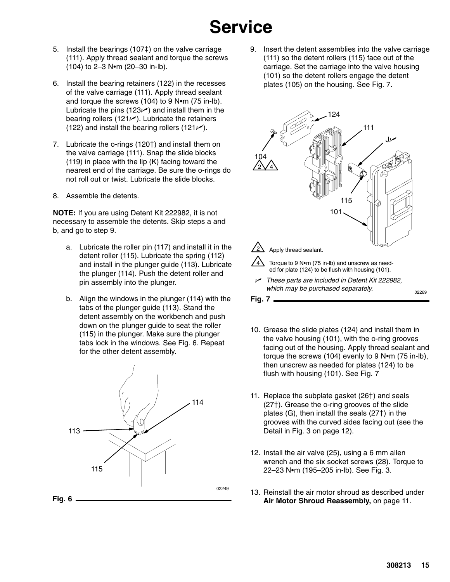- 5. Install the bearings  $(107<sup>‡</sup>)$  on the valve carriage (111). Apply thread sealant and torque the screws  $(104)$  to 2-3 N•m  $(20-30)$  in-lb).
- 6. Install the bearing retainers (122) in the recesses of the valve carriage (111). Apply thread sealant and torque the screws (104) to 9 N $\bullet$ m (75 in-lb). Lubricate the pins (123 $\nu$ ) and install them in the bearing rollers (121 $\nu$ ). Lubricate the retainers (122) and install the bearing rollers (121 $\nu$ ).
- 7. Lubricate the o-rings (120<sup>+</sup>) and install them on the valve carriage (111). Snap the slide blocks (119) in place with the lip (K) facing toward the nearest end of the carriage. Be sure the o-rings do not roll out or twist. Lubricate the slide blocks.
- 8. Assemble the detents.

**NOTE:** If you are using Detent Kit 222982, it is not necessary to assemble the detents. Skip steps a and b, and go to step 9.

- a. Lubricate the roller pin (117) and install it in the detent roller (115). Lubricate the spring (112) and install in the plunger guide (113). Lubricate the plunger (114). Push the detent roller and pin assembly into the plunger.
- b. Align the windows in the plunger (114) with the tabs of the plunger guide (113). Stand the detent assembly on the workbench and push down on the plunger guide to seat the roller (115) in the plunger. Make sure the plunger tabs lock in the windows. See Fig. 6. Repeat for the other detent assembly.



9. Insert the detent assemblies into the valve carriage (111) so the detent rollers (115) face out of the carriage. Set the carriage into the valve housing (101) so the detent rollers engage the detent plates (105) on the housing. See Fig. 7.



- 10. Grease the slide plates (124) and install them in the valve housing (101), with the o-ring grooves facing out of the housing. Apply thread sealant and torque the screws  $(104)$  evenly to 9 N $\bullet$ m  $(75$  in-lb), then unscrew as needed for plates (124) to be flush with housing (101). See Fig. 7
- 11. Replace the subplate gasket (26†) and seals  $(27<sup>†</sup>)$ . Grease the o-ring grooves of the slide plates  $(G)$ , then install the seals  $(27<sup>†</sup>)$  in the grooves with the curved sides facing out (see the Detail in Fig. 3 on page 12).
- 12. Install the air valve (25), using a 6 mm allen wrench and the six socket screws (28). Torque to 22–23 N•m (195–205 in-lb). See Fig. 3.
- 13. Reinstall the air motor shroud as described under **Air Motor Shroud Reassembly,** on page 11.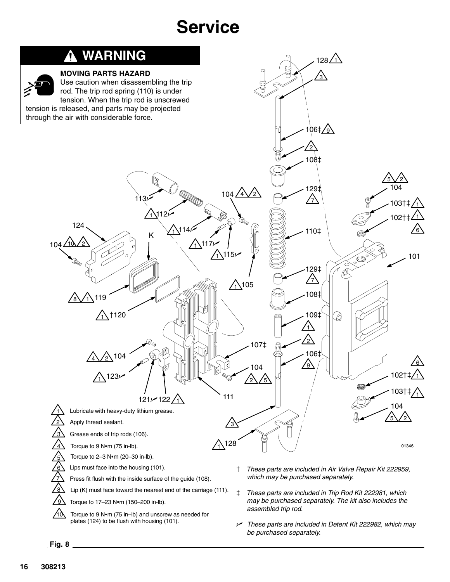

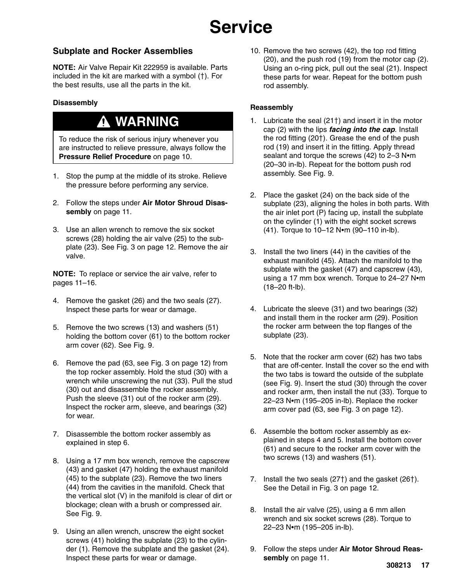### **Subplate and Rocker Assemblies**

**NOTE:** Air Valve Repair Kit 222959 is available. Parts included in the kit are marked with a symbol  $(+)$ . For the best results, use all the parts in the kit.

#### **Disassembly**

### **WARNING**

To reduce the risk of serious injury whenever you are instructed to relieve pressure, always follow the **Pressure Relief Procedure** on page 10.

- 1. Stop the pump at the middle of its stroke. Relieve the pressure before performing any service.
- 2. Follow the steps under **Air Motor Shroud Disassembly** on page 11.
- 3. Use an allen wrench to remove the six socket screws (28) holding the air valve (25) to the subplate (23). See Fig. 3 on page 12. Remove the air valve.

**NOTE:** To replace or service the air valve, refer to pages 11–16.

- 4. Remove the gasket (26) and the two seals (27). Inspect these parts for wear or damage.
- 5. Remove the two screws (13) and washers (51) holding the bottom cover (61) to the bottom rocker arm cover (62). See Fig. 9.
- 6. Remove the pad (63, see Fig. 3 on page 12) from the top rocker assembly. Hold the stud (30) with a wrench while unscrewing the nut (33). Pull the stud (30) out and disassemble the rocker assembly. Push the sleeve (31) out of the rocker arm (29). Inspect the rocker arm, sleeve, and bearings (32) for wear.
- 7. Disassemble the bottom rocker assembly as explained in step 6.
- 8. Using a 17 mm box wrench, remove the capscrew (43) and gasket (47) holding the exhaust manifold (45) to the subplate (23). Remove the two liners (44) from the cavities in the manifold. Check that the vertical slot (V) in the manifold is clear of dirt or blockage; clean with a brush or compressed air. See Fig. 9.
- 9. Using an allen wrench, unscrew the eight socket screws (41) holding the subplate (23) to the cylinder (1). Remove the subplate and the gasket (24). Inspect these parts for wear or damage.

10. Remove the two screws (42), the top rod fitting (20), and the push rod (19) from the motor cap (2). Using an o-ring pick, pull out the seal (21). Inspect these parts for wear. Repeat for the bottom push rod assembly.

#### **Reassembly**

- 1. Lubricate the seal  $(21<sup>†</sup>)$  and insert it in the motor cap (2) with the lips *facing into the cap*. Install the rod fitting  $(20<sup>+</sup>)$ . Grease the end of the push rod (19) and insert it in the fitting. Apply thread sealant and torque the screws  $(42)$  to 2-3 N $\bullet$ m (20–30 in-lb). Repeat for the bottom push rod assembly. See Fig. 9.
- 2. Place the gasket (24) on the back side of the subplate (23), aligning the holes in both parts. With the air inlet port (P) facing up, install the subplate on the cylinder (1) with the eight socket screws  $(41)$ . Torque to 10-12 N•m  $(90-110$  in-lb).
- 3. Install the two liners (44) in the cavities of the exhaust manifold (45). Attach the manifold to the subplate with the gasket (47) and capscrew (43), using a 17 mm box wrench. Torque to  $24-27$  N $m$ (18–20 ft-lb).
- 4. Lubricate the sleeve (31) and two bearings (32) and install them in the rocker arm (29). Position the rocker arm between the top flanges of the subplate (23).
- 5. Note that the rocker arm cover (62) has two tabs that are off-center. Install the cover so the end with the two tabs is toward the outside of the subplate (see Fig. 9). Insert the stud (30) through the cover and rocker arm, then install the nut (33). Torque to  $22-23$  N $em$  (195-205 in-lb). Replace the rocker arm cover pad (63, see Fig. 3 on page 12).
- 6. Assemble the bottom rocker assembly as explained in steps 4 and 5. Install the bottom cover (61) and secure to the rocker arm cover with the two screws (13) and washers (51).
- 7. Install the two seals  $(27<sup>†</sup>)$  and the gasket  $(26<sup>†</sup>)$ . See the Detail in Fig. 3 on page 12.
- 8. Install the air valve (25), using a 6 mm allen wrench and six socket screws (28). Torque to 22–23 N•m (195–205 in-lb).
- 9. Follow the steps under **Air Motor Shroud Reassembly** on page 11.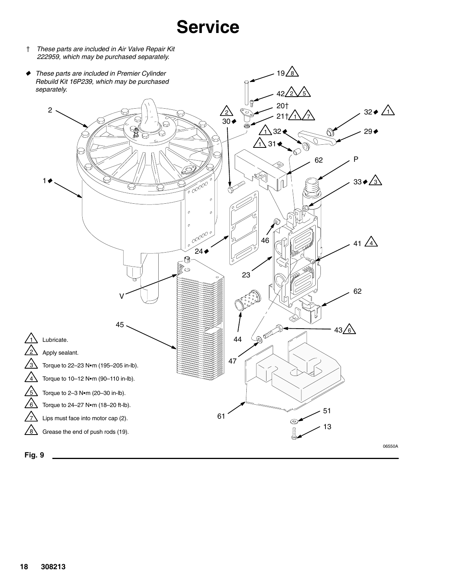*These parts are included in Air Valve Repair Kit 222959, which may be purchased separately.*

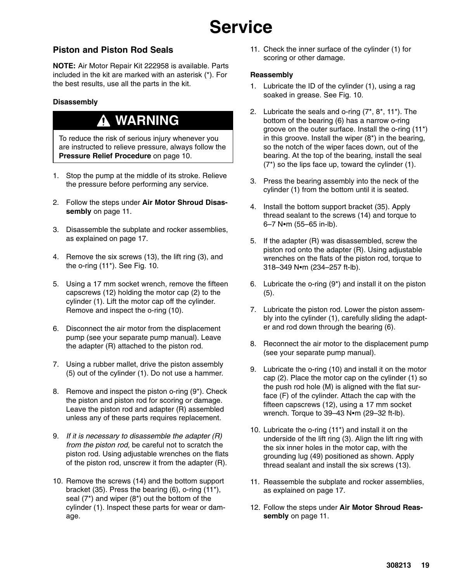#### **Piston and Piston Rod Seals**

**NOTE:** Air Motor Repair Kit 222958 is available. Parts included in the kit are marked with an asterisk (\*). For the best results, use all the parts in the kit.

#### **Disassembly**

### **WARNING**

To reduce the risk of serious injury whenever you are instructed to relieve pressure, always follow the **Pressure Relief Procedure** on page 10.

- 1. Stop the pump at the middle of its stroke. Relieve the pressure before performing any service.
- 2. Follow the steps under **Air Motor Shroud Disassembly** on page 11.
- 3. Disassemble the subplate and rocker assemblies, as explained on page 17.
- 4. Remove the six screws (13), the lift ring (3), and the o-ring (11\*). See Fig. 10.
- 5. Using a 17 mm socket wrench, remove the fifteen capscrews (12) holding the motor cap (2) to the cylinder (1). Lift the motor cap off the cylinder. Remove and inspect the o-ring (10).
- 6. Disconnect the air motor from the displacement pump (see your separate pump manual). Leave the adapter (R) attached to the piston rod.
- 7. Using a rubber mallet, drive the piston assembly (5) out of the cylinder (1). Do not use a hammer.
- 8. Remove and inspect the piston o-ring (9\*). Check the piston and piston rod for scoring or damage. Leave the piston rod and adapter (R) assembled unless any of these parts requires replacement.
- 9. *If it is necessary to disassemble the adapter (R) from the piston rod,* be careful not to scratch the piston rod. Using adjustable wrenches on the flats of the piston rod, unscrew it from the adapter (R).
- 10. Remove the screws (14) and the bottom support bracket (35). Press the bearing (6), o-ring (11\*), seal (7\*) and wiper (8\*) out the bottom of the cylinder (1). Inspect these parts for wear or damage.

11. Check the inner surface of the cylinder (1) for scoring or other damage.

#### **Reassembly**

- 1. Lubricate the ID of the cylinder (1), using a rag soaked in grease. See Fig. 10.
- 2. Lubricate the seals and o-ring (7\*, 8\*, 11\*). The bottom of the bearing (6) has a narrow o-ring groove on the outer surface. Install the o-ring (11\*) in this groove. Install the wiper (8\*) in the bearing, so the notch of the wiper faces down, out of the bearing. At the top of the bearing, install the seal (7\*) so the lips face up, toward the cylinder (1).
- 3. Press the bearing assembly into the neck of the cylinder (1) from the bottom until it is seated.
- 4. Install the bottom support bracket (35). Apply thread sealant to the screws (14) and torque to  $6-7$  N $\bullet$ m (55–65 in-lb).
- 5. If the adapter (R) was disassembled, screw the piston rod onto the adapter (R). Using adjustable wrenches on the flats of the piston rod, torque to 318–349 N•m (234–257 ft-lb).
- 6. Lubricate the o-ring (9\*) and install it on the piston (5).
- 7. Lubricate the piston rod. Lower the piston assembly into the cylinder (1), carefully sliding the adapter and rod down through the bearing (6).
- 8. Reconnect the air motor to the displacement pump (see your separate pump manual).
- 9. Lubricate the o-ring (10) and install it on the motor cap (2). Place the motor cap on the cylinder (1) so the push rod hole (M) is aligned with the flat surface (F) of the cylinder. Attach the cap with the fifteen capscrews (12), using a 17 mm socket wrench. Torque to  $39-43$  N $\bullet$ m (29-32 ft-lb).
- 10. Lubricate the o-ring (11\*) and install it on the underside of the lift ring (3). Align the lift ring with the six inner holes in the motor cap, with the grounding lug (49) positioned as shown. Apply thread sealant and install the six screws (13).
- 11. Reassemble the subplate and rocker assemblies, as explained on page 17.
- 12. Follow the steps under **Air Motor Shroud Reassembly** on page 11.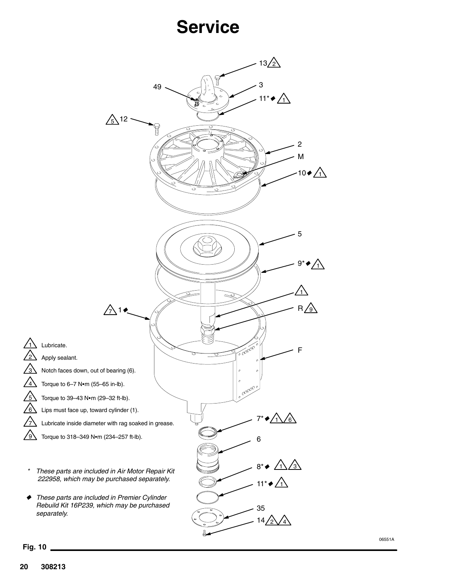

06551A

**Fig. 10**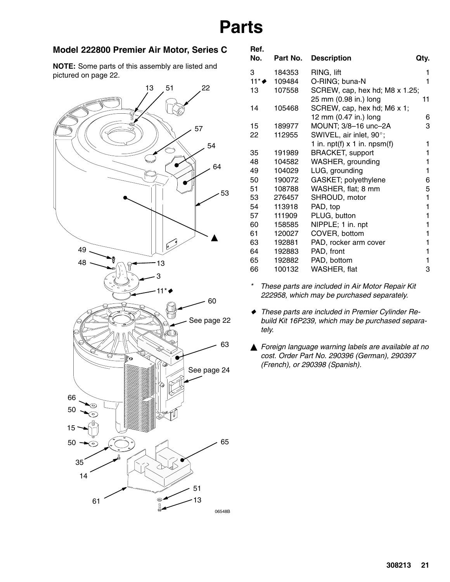### **Model 222800 Premier Air Motor, Series C**

**NOTE:** Some parts of this assembly are listed and pictured on page 22.



|        | <b>Description</b>               | Qty.                                                                                                                                                      |
|--------|----------------------------------|-----------------------------------------------------------------------------------------------------------------------------------------------------------|
| 184353 | RING, lift                       | 1                                                                                                                                                         |
| 109484 | O-RING; buna-N                   | 1                                                                                                                                                         |
| 107558 |                                  | 11                                                                                                                                                        |
| 105468 | SCREW, cap, hex hd; M6 x 1;      |                                                                                                                                                           |
|        |                                  | 6                                                                                                                                                         |
|        |                                  | 3                                                                                                                                                         |
| 112955 |                                  |                                                                                                                                                           |
|        | 1 in. $npt(f)$ x 1 in. $npsm(f)$ | 1                                                                                                                                                         |
| 191989 | <b>BRACKET, support</b>          | 1                                                                                                                                                         |
| 104582 | WASHER, grounding                | 1                                                                                                                                                         |
| 104029 | LUG, grounding                   | 1                                                                                                                                                         |
| 190072 | GASKET; polyethylene             | 6                                                                                                                                                         |
| 108788 | WASHER, flat; 8 mm               | 5                                                                                                                                                         |
| 276457 | SHROUD, motor                    | 1                                                                                                                                                         |
| 113918 | PAD, top                         | 1                                                                                                                                                         |
| 111909 | PLUG, button                     | 1                                                                                                                                                         |
| 158585 | NIPPLE; 1 in. npt                | 1                                                                                                                                                         |
| 120027 | COVER, bottom                    | 1                                                                                                                                                         |
| 192881 | PAD, rocker arm cover            | 1                                                                                                                                                         |
| 192883 | PAD, front                       | 1                                                                                                                                                         |
|        | PAD, bottom                      | 1                                                                                                                                                         |
| 100132 | WASHER, flat                     | 3                                                                                                                                                         |
|        | 189977                           | Part No.<br>SCREW, cap, hex hd; M8 x 1.25;<br>25 mm (0.98 in.) long<br>12 mm (0.47 in.) long<br>MOUNT; 3/8-16 unc-2A<br>SWIVEL, air inlet, 90°;<br>192882 |

*\* These parts are included in Air Motor Repair Kit 222958, which may be purchased separately.*

- *These parts are included in Premier Cylinder Rebuild Kit 16P239, which may be purchased separately.*
- *Foreign language warning labels are available at no cost. Order Part No. 290396 (German), 290397 (French), or 290398 (Spanish).*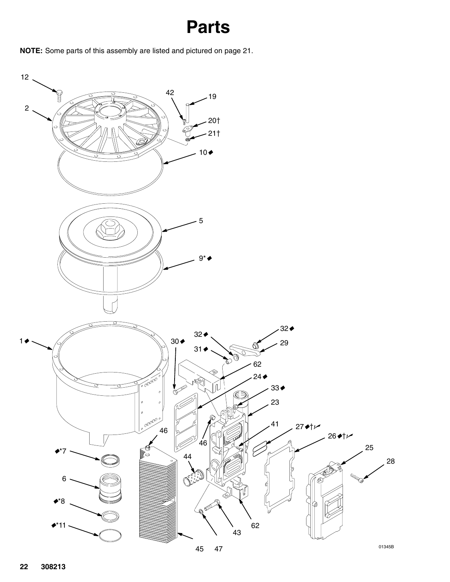**NOTE:** Some parts of this assembly are listed and pictured on page 21.

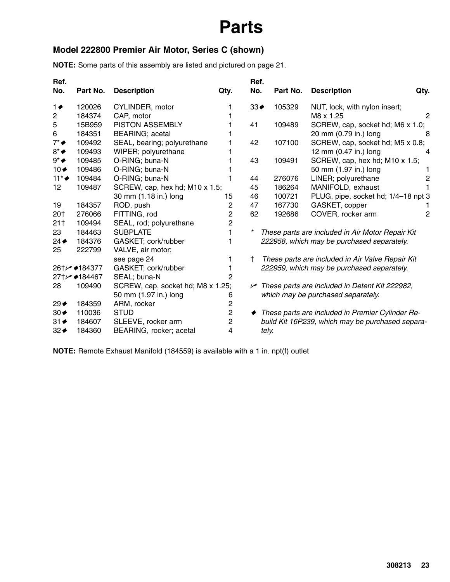### **Model 222800 Premier Air Motor, Series C (shown)**

**NOTE:** Some parts of this assembly are listed and pictured on page 21.

| Ref.                |              |                                   |                | Ref.               |          |                                                               |                |
|---------------------|--------------|-----------------------------------|----------------|--------------------|----------|---------------------------------------------------------------|----------------|
| No.                 | Part No.     | <b>Description</b>                | Qty.           | No.                | Part No. | <b>Description</b><br>Qty.                                    |                |
| 1♦                  | 120026       | CYLINDER, motor                   | 1              | $33 \triangleleft$ | 105329   | NUT, lock, with nylon insert;                                 |                |
| $\overline{c}$      | 184374       | CAP, motor                        |                |                    |          | M8 x 1.25                                                     | 2              |
| 5                   | 15B959       | <b>PISTON ASSEMBLY</b>            |                | 41                 | 109489   | SCREW, cap, socket hd; M6 x 1.0;                              |                |
| 6                   | 184351       | <b>BEARING</b> ; acetal           |                |                    |          | 20 mm (0.79 in.) long                                         | 8              |
| $7^* \blacklozenge$ | 109492       | SEAL, bearing; polyurethane       |                | 42                 | 107100   | SCREW, cap, socket hd; M5 x 0.8;                              |                |
| $8^* \blacklozenge$ | 109493       | WIPER; polyurethane               |                |                    |          | 12 mm (0.47 in.) long                                         | 4              |
| $9^* \bullet$       | 109485       | O-RING; buna-N                    |                | 43                 | 109491   | SCREW, cap, hex hd; M10 x 1.5;                                |                |
| $10 \triangleleft$  | 109486       | O-RING; buna-N                    |                |                    |          | 50 mm (1.97 in.) long                                         |                |
| $11^* \rightarrow$  | 109484       | O-RING; buna-N                    |                | 44                 | 276076   | LINER; polyurethane                                           | 2              |
| 12                  | 109487       | SCREW, cap, hex hd; M10 x 1.5;    |                | 45                 | 186264   | MANIFOLD, exhaust                                             |                |
|                     |              | 30 mm (1.18 in.) long             | 15             | 46                 | 100721   | PLUG, pipe, socket hd; 1/4-18 npt 3                           |                |
| 19                  | 184357       | ROD, push                         | 2              | 47                 | 167730   | GASKET, copper                                                |                |
| 20†                 | 276066       | FITTING, rod                      | $\overline{2}$ | 62                 | 192686   | COVER, rocker arm                                             | $\overline{2}$ |
| 21 <sup>†</sup>     | 109494       | SEAL, rod; polyurethane           | $\overline{c}$ |                    |          |                                                               |                |
| 23                  | 184463       | <b>SUBPLATE</b>                   | 1              |                    |          | These parts are included in Air Motor Repair Kit              |                |
| $24 \triangleleft$  | 184376       | GASKET; cork/rubber               | 1              |                    |          | 222958, which may be purchased separately.                    |                |
| 25                  | 222799       | VALVE, air motor;                 |                |                    |          |                                                               |                |
|                     |              | see page 24                       | 1              | $^+$               |          | These parts are included in Air Valve Repair Kit              |                |
|                     | 26†← ♦184377 | GASKET; cork/rubber               | 1              |                    |          | 222959, which may be purchased separately.                    |                |
|                     | 27†∠ ♦184467 | SEAL; buna-N                      | $\overline{2}$ |                    |          |                                                               |                |
| 28                  | 109490       | SCREW, cap, socket hd; M8 x 1.25; |                |                    |          | $\overline{V}$ These parts are included in Detent Kit 222982, |                |
|                     |              | 50 mm (1.97 in.) long             | 6              |                    |          | which may be purchased separately.                            |                |
| 29 ♦                | 184359       | ARM, rocker                       | $\overline{c}$ |                    |          |                                                               |                |
| $30 \triangleleft$  | 110036       | <b>STUD</b>                       | $\overline{c}$ |                    |          | These parts are included in Premier Cylinder Re-              |                |
| $31 \triangleleft$  | 184607       | SLEEVE, rocker arm                | $\overline{c}$ |                    |          | build Kit 16P239, which may be purchased separa-              |                |
| $32 \div$           | 184360       | BEARING, rocker; acetal           | 4              |                    | tely.    |                                                               |                |

**NOTE:** Remote Exhaust Manifold (184559) is available with a 1 in. npt(f) outlet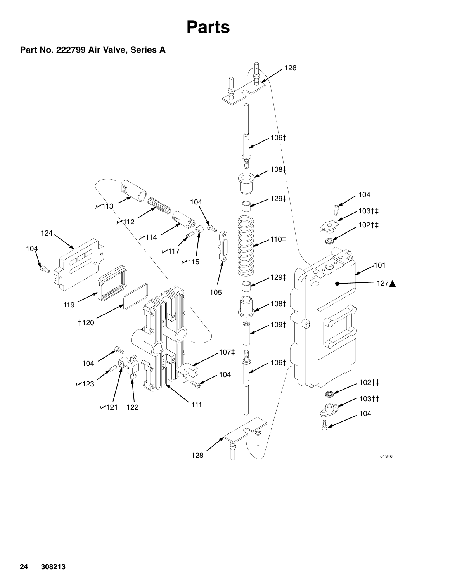

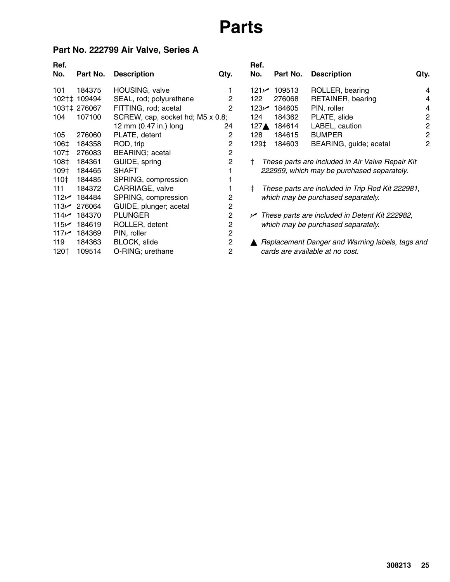### **Part No. 222799 Air Valve, Series A**

| Ref.<br>No.      | Part No.     | <b>Description</b>               | Qty.           | Ref.<br>No. |                  |
|------------------|--------------|----------------------------------|----------------|-------------|------------------|
| 101              | 184375       | HOUSING, valve                   | 1              |             | 121 $\nu$        |
|                  | 102†‡ 109494 | SEAL, rod; polyurethane          | 2              | 122         |                  |
|                  | 103†‡ 276067 | FITTING, rod; acetal             | 2              |             | 123 $\nu$        |
| 104              | 107100       | SCREW, cap, socket hd; M5 x 0.8; |                | 124         |                  |
|                  |              | 12 mm (0.47 in.) long            | 24             |             | 127 <sub>A</sub> |
| 105              | 276060       | PLATE, detent                    | $\mathbf{2}$   | 128         |                  |
| 106‡             | 184358       | ROD, trip                        | $\overline{c}$ |             | 129‡             |
| 107‡             | 276083       | <b>BEARING; acetal</b>           | 2              |             |                  |
| 108‡             | 184361       | GUIDE, spring                    | 2              | t           | The              |
| 109‡             | 184465       | <b>SHAFT</b>                     | 1              |             | 222              |
| 110‡             | 184485       | SPRING, compression              | 1              |             |                  |
| 111              | 184372       | CARRIAGE, valve                  | 1              | ŧ           | The              |
| 112 $\nu$        | 184484       | SPRING, compression              | 2              |             | whi              |
| 113 $\nu$        | 276064       | GUIDE, plunger; acetal           | 2              |             |                  |
| 114 $\sim$       | 184370       | <b>PLUNGER</b>                   | 2              |             | $\nu$ The        |
| 115/             | 184619       | ROLLER, detent                   | 2              |             | whi              |
| 117 <sub>1</sub> | 184369       | PIN, roller                      | $\overline{c}$ |             |                  |
| 119              | 184363       | BLOCK, slide                     | 2              |             | Rep              |
| 120†             | 109514       | O-RING; urethane                 | 2              |             | car              |

| Ref.<br>No. | Part No.    | <b>Description</b>                                                                             | Qty.           |
|-------------|-------------|------------------------------------------------------------------------------------------------|----------------|
|             | 121~ 109513 | ROLLER, bearing                                                                                | 4              |
| 122         | 276068      | RETAINER, bearing                                                                              | 4              |
|             | 123 184605  | PIN, roller                                                                                    | 4              |
|             | 124  184362 | PLATE, slide                                                                                   | $\overline{2}$ |
|             | 127▲ 184614 | LABEL, caution                                                                                 | 2              |
|             | 128 184615  | <b>BUMPER</b>                                                                                  | $\overline{c}$ |
|             | 129‡ 184603 | BEARING, guide; acetal                                                                         | $\overline{c}$ |
| Ť<br>$\pm$  |             | These parts are included in Air Valve Repair Kit<br>222959, which may be purchased separately. |                |
|             |             | These parts are included in Trip Rod Kit 222981,<br>which may be purchased separately.         |                |
|             |             | $\sim$ These parts are included in Detent Kit 222982,<br>which may be purchased separately.    |                |
|             |             | Replacement Danger and Warning labels, tags and<br>cards are available at no cost.             |                |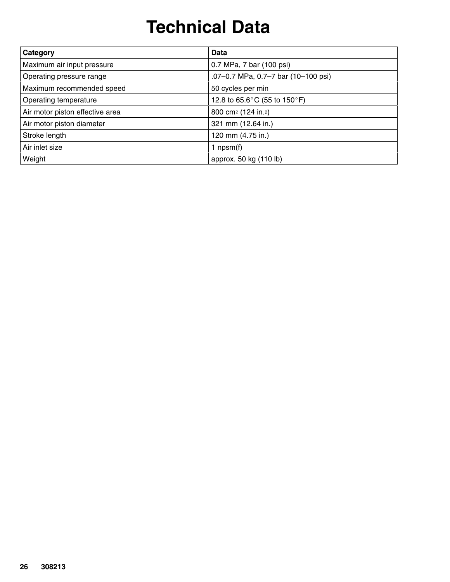## **Technical Data**

| Category                        | Data                                |
|---------------------------------|-------------------------------------|
| Maximum air input pressure      | 0.7 MPa, 7 bar (100 psi)            |
| Operating pressure range        | .07-0.7 MPa, 0.7-7 bar (10-100 psi) |
| Maximum recommended speed       | 50 cycles per min                   |
| Operating temperature           | 12.8 to 65.6°C (55 to 150°F)        |
| Air motor piston effective area | 800 cm <sup>2</sup> (124 in.2)      |
| Air motor piston diameter       | 321 mm (12.64 in.)                  |
| Stroke length                   | 120 mm (4.75 in.)                   |
| Air inlet size                  | 1 npsm $(f)$                        |
| Weight                          | approx. 50 kg (110 lb)              |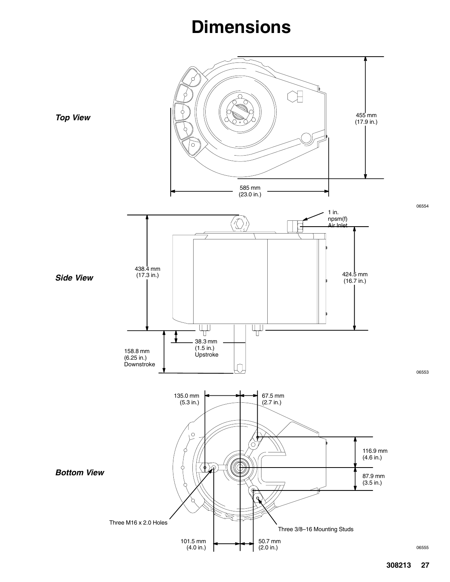### **Dimensions**